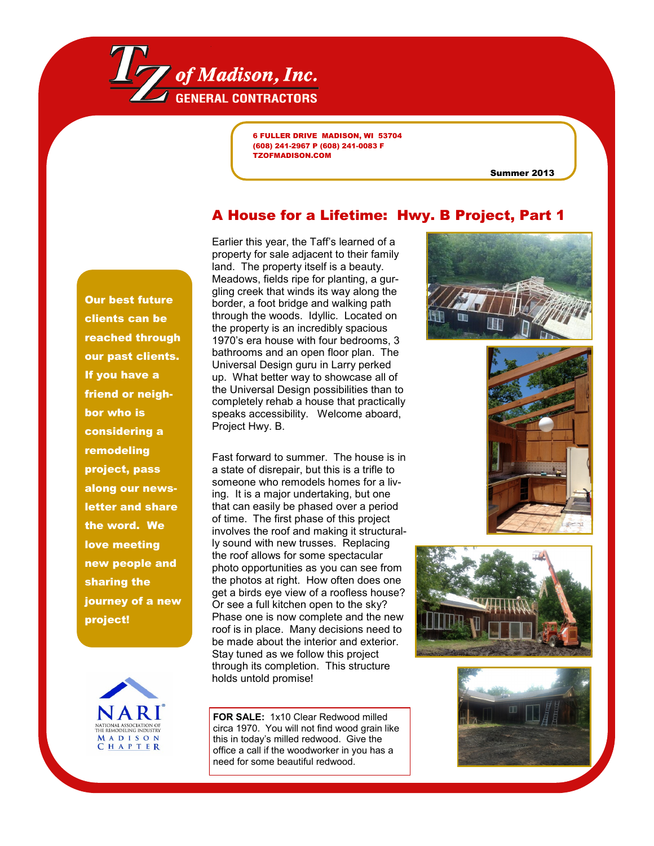

6 FULLER DRIVE MADISON, WI 53704 (608) 241-2967 P (608) 241-0083 F TZOFMADISON.COM

Summer 2013

## A House for a Lifetime: Hwy. B Project, Part 1

Our best future clients can be reached through our past clients. If you have a friend or neighbor who is considering a remodeling project, pass along our newsletter and share the word. We love meeting new people and sharing the journey of a new project!



Earlier this year, the Taff's learned of a property for sale adjacent to their family land. The property itself is a beauty. Meadows, fields ripe for planting, a gurgling creek that winds its way along the border, a foot bridge and walking path through the woods. Idyllic. Located on the property is an incredibly spacious 1970's era house with four bedrooms, 3 bathrooms and an open floor plan. The Universal Design guru in Larry perked up. What better way to showcase all of the Universal Design possibilities than to completely rehab a house that practically speaks accessibility. Welcome aboard, Project Hwy. B.

Fast forward to summer. The house is in a state of disrepair, but this is a trifle to someone who remodels homes for a living. It is a major undertaking, but one that can easily be phased over a period of time. The first phase of this project involves the roof and making it structurally sound with new trusses. Replacing the roof allows for some spectacular photo opportunities as you can see from the photos at right. How often does one get a birds eye view of a roofless house? Or see a full kitchen open to the sky? Phase one is now complete and the new roof is in place. Many decisions need to be made about the interior and exterior. Stay tuned as we follow this project through its completion. This structure holds untold promise!

**FOR SALE:** 1x10 Clear Redwood milled circa 1970. You will not find wood grain like this in today's milled redwood. Give the office a call if the woodworker in you has a need for some beautiful redwood.